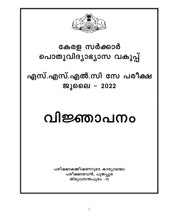

## കേരള സർക്കാർ പൊതുവിദ്യാഭ്യാസ വകുപ്പ്

എസ്.എസ്.എൽ.സി സേ പരീക്ഷ ജൂലൈ - 2022

# വിജ്ഞാപനം

പരീക്ഷാകമ്മീഷണറുടെ കാര്യാലയം പരീക്ഷാഭവൻ, പൂജപ്പുര തിരുവനന്തപുരം –12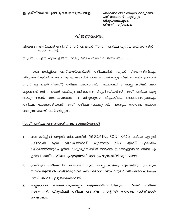പരീക്ഷാകമ്മീഷണറുടെ കാര്യാലയം പരീക്ഷാഭവൻ, പൂജപ്പുര തിരുവനന്തപുരം. തീയതി : 21/06/2022

#### വിജ്ഞാപനം

വിഷയം : എസ്.എസ്.എൽ.സി സേവ് എ ഇയർ ("സേ") പരീക്ഷ ജൂലൈ 2022 നടത്തിപ്പ് -സംബന്ധിച്ച്.

സൂചന : എസ്.എസ്.എൽ.സി മാർച്ച് 2022 പരീക്ഷാ വിജ്ഞാപനം.

മാർച്ചിലെ എസ്.എസ്.എൽ.സി. പരീക്ഷയിൽ റഗുലർ വിഭാഗത്തിൽപ്പെട്ട 2022 വിദ്യാർത്ഥികളിൽ ഉന്നത വിദ്യാഭ്യാസത്തിന് അർഹത നഷ്ടപ്പെട്ടവർക്ക് വേണ്ടിമാത്രമാണ് സേവ് എ ഇയർ (''സേ'') പരീക്ഷ നടത്തുന്നത്. പരമാവധി 3 പേപ്പറുകൾക്ക് വരെ കുറഞ്ഞത് ഡി + ഗ്രേഡ് എങ്കിലും ലഭിക്കാത്ത വിദ്യാർത്ഥികൾക്ക് ''സേ'' പരീക്ഷ എഴു ജില്ലകളിലെ താവുന്നതാണ്. സംസ്ഥാനത്തെ വിദ്യാഭ്യാസ തെരഞ്ഞെടുക്കപ്പെട്ട 41 പരീക്ഷാ കേന്ദ്രങ്ങളിലാണ് ''സേ'' പരീക്ഷ നടത്തുന്നത്. മാതൃക അപേക്ഷ ഫോറം അനുബന്ധമായി ചേർത്തിട്ടുണ്ട്.

#### "സേ" പരീക്ഷ എഴുതുന്നതിനുള്ള മാനദണ്ഡങ്ങൾ

- 2022 മാർച്ചിൽ റഗുലർ വിഭാഗത്തിൽ (SGC, $ARC$ , CCC RAC) പരീക്ഷ എഴുതി 1. പരമാവധി കുറഞ്ഞത് മൂന്ന് വിഷയങ്ങൾക്ക്  $\omega$ ി+ എങ്കിലും ഗ്രേസ് ലഭിക്കാത്തതുമൂലം ഉന്നത വിദ്യാഭ്യാസത്തിന് അർഹത നഷ്ടപ്പെട്ടവർക്ക് സേവ് എ ഇയർ (''സേ'') പരീക്ഷ എഴുതുന്നതിന് അർഹതയുണ്ടായിരിക്കുന്നതാണ്.
- $2.$ പ്രസ്തുത പരീക്ഷയിൽ പരമാവധി മൂന്ന് പേപ്പറുകൾക്കു ഏതെങ്കിലും പ്രത്യേക സാഹചര്യത്തിൽ ഹാജരാകുവാൻ സാധിക്കാതെ വന്ന റഗുലർ വിദ്യാർത്ഥികൾക്കും 'സേ' പരീക്ഷ എഴുതാവുന്നതാണ്.
- കേന്ദ്രങ്ങളിലായിരിക്കും  $\degree$ സേ $\degree$ 3. ജില്ലകളിലെ തെരഞ്ഞെടുക്കപ്പെട്ട പരീക്ഷ നടത്തുന്നത്. വിദ്യാർത്ഥി പരീക്ഷ എഴുതിയ സെന്ററിൽ അപേക്ഷ നൽകിയാൽ മതിയാകും.

 $\overline{2}$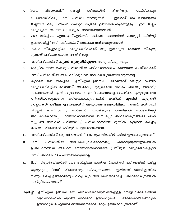- ഐ.റ്റി പരീക്ഷയിൽ SGC വിഭാഗത്തിന് തിയറിയും, പ്രാക്ടിക്കലും 4. ചേർത്തായിരിക്കും 'സേ' പരീക്ഷ നടത്തുന്നത്. ഇവർക്ക് ഒരു വിദ്യാഭ്യാസ ജില്ലയിൽ ഒരു പരീക്ഷാ സെന്റർ മാത്രമേ ഉണ്ടായിരിക്കുകയുള്ളൂ. ഇത് ജില്ലാ വിദ്യാഭ്യാസ ഓഫീസർ പ്രത്യേകം അറിയിക്കുന്നതാണ്.
- 2022 മാർച്ചിലെ എസ്.എസ്.എൽ.സി. പരീക്ഷാ ഫലത്തിന്റെ കമ്പ്യൂട്ടർ പ്രിന്റൗട്ട് 5. ഉപയോഗിച്ച് 'സേ' പരീക്ഷയ്ക്ക് അപേക്ഷ നൽകാവുന്നതാണ്.
- ഗൾഫ് സ്കൂളുകളിലെ വിദ്യാർത്ഥികൾക്ക് ന്യൂ ഇൻഡ്യൻ മോഡൽ സ്കൂൾ, 6. ദുബായ് പരീക്ഷാ കേന്ദ്രം ആയിരിക്കും.
- 'സേ'പരീക്ഷയ്ക്ക് **പുനർ മൂല്യനിർണ്ണയം** അനുവദിക്കുന്നതല്ല. 7.
- 8. മാർച്ചിൽ നടന്ന പൊതു പരീക്ഷയ്ക്ക് പരീക്ഷാർത്ഥിത്വം ക്യാൻസൽ ചെയ്തവർക്ക് 'സേ' പരീക്ഷയ്ക്ക് അപേക്ഷിക്കുവാൻ അർഹതയുണ്ടായിരിക്കുന്നതല്ല.
- കൂടാതെ 2022 മാർച്ചിലെ എസ്.എസ്.എൽ.സി. പരീക്ഷയ്ക്ക് രജിസ്റ്റർ ചെയ്ത 9. വിദ്യാർത്ഥികളിൽ കോവിഡ്, അപകടം, ഗുരുതരമായ രോഗം, പിതാവ്/ മാതാവ്/ സഹോദരങ്ങൾ എന്നിവരുടെ മരണം എന്നീ കാരണങ്ങളാൽ പരീക്ഷ എഴുതുവാനോ മൂന്നിൽ കഴിയാത്തവരുണ്ടെങ്കിൽ ഇവർക്ക് പുർത്തിയാക്കുവാനോ കുടുതൽ പേപ്പറുകൾ പരീക്ഷ എഴുതുന്നതിന് അനുവാദം ഉണ്ടായിരിക്കുന്നതാണ്. ഇതിനായി വില്ലേജ് ഓഫീസർ / സർക്കാർ ഡോക്ടറുടെ മെഡിക്കൽ സർട്ടിഫിക്കറ്റ് അപേക്ഷയോടൊപ്പം ഹാജരാക്കേണ്ടതാണ്. ബന്ധപ്പെട്ട പരീക്ഷാകേന്ദ്രത്തിലെ ചീഫ് സൂപ്രണ്ട് രേഖകൾ പരിശോധിച്ച് പരീക്ഷാർത്ഥിയെ മൂന്നിൽ കൂടുതൽ പേപ്പറു കൾക്ക് പരീക്ഷയ്ക്ക് രജിസ്റ്റർ ചെയ്യിക്കേണ്ടതാണ്.
- 'സേ'പരീക്ഷയ്ക്ക് ഒരു വിഷയത്തിന് 100/–രൂപ നിരക്കിൽ ഫീസ് ഈടാക്കുന്നതാണ്.  $10.$  $\degree$ സേ $\degree$ 11. പരീക്ഷയ്ക്ക് അപേക്ഷിച്ചവരിലാരെങ്കിലും പുനർമൂല്യനിർണ്ണയത്തിൽ ഉപരിപഠനത്തിന് അർഹത നേടിയതായിക്കണ്ടാൽ പ്രസ്തുത വിദ്യാർത്ഥികളുടെ 'സേ' പരീക്ഷാഫലം പരിഗണിക്കുന്നതല്ല.
- $\text{IED}$  വിദ്യാർത്ഥികൾക്ക് 2022 മാർച്ചിലെ എസ്.എസ്.എൽ.സി പരീക്ഷയ്ക്ക് ലഭിച്ച  $12.$ ആനുകൂല്യം 'സേ' പരീക്ഷയ്ക്കും ലഭിക്കുന്നതാണ്. ഇതിനായി ഡി.ജി.ഇ–യിൽ നിന്നും ലഭിച്ച ഉത്തരവിന്റെ പകർപ്പ് കൂടി അപേക്ഷയോടൊപ്പം പരീക്ഷാകേന്ദ്രത്തിൽ സമർപ്പിക്കേണ്ടതാണ്.
- <u>കുറിപ്പ്:</u> എസ്.എസ്.എൽ.സി സേ പരീക്ഷയോടനുബന്ധിച്ചുള്ള നോട്ടിഫിക്കേഷനിലെ വൃവസ്ഥകൾക്ക് പുതിയ സർക്കാർ ഉത്തരവുകൾ, പരീക്ഷാകമ്മീഷണറുടെ ഉത്തരവുകൾ എന്നിവ അടിസ്ഥാനമാക്കി മാറ്റം ഉണ്ടാകാവുന്നതാണ്.

3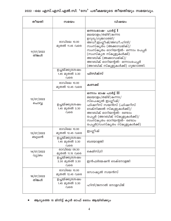2022 –ലെ എസ്.എസ്.എൽ.സി. 'സേ' പരീക്ഷയുടെ തീയതിയും സമയവും.

| തീയതി                | സമയം                                           | വിഷയം                                                                                                                                                                                                                                                                           |
|----------------------|------------------------------------------------|---------------------------------------------------------------------------------------------------------------------------------------------------------------------------------------------------------------------------------------------------------------------------------|
| 11/07/2022<br>തിങ്കൾ | രാവിലെ 10.00<br>മുതൽ 11.45 വരെ                 | ഒന്നാംഭാഷ- പാർട്ട് I<br>മലയാളം/തമിഴ്/കന്നട<br>ഉറുദു/ഗുജറാത്തി/<br>അഡീ.ഇംഗ്ലീഷ്/അഡീ.ഹിന്ദി/<br>സംസ്കൃതം (അക്കാഡമിക്)/<br>സംസ്കൃതം ഓറിയന്റൽ- ഒന്നാം പേപ്പർ<br>(സംസ്കൃത സ്കൂളുകൾക്ക്)<br>അറബിക് (അക്കാഡമിക്)/<br>അറബിക് ഓറിയന്റൽ– ഒന്നാംപേപ്പർ<br>(അറബിക് സ്കൂളുകൾക്ക്) ഗുജറാത്തി. |
|                      | ഉച്ചയ്ക്കുശേഷം<br>1.45 മുതൽ 3.30<br>വരെ        | ഫിസിക്സ്                                                                                                                                                                                                                                                                        |
|                      | രാവിലെ 10.00<br>മുതൽ 12.45 വരെ                 | കണക്ക്                                                                                                                                                                                                                                                                          |
| 12/07/2022<br>ചൊവ്വ  | ഉച്ചയ്ക്കുശേഷം<br>1.45 മുതൽ 3.30<br>വരെ        | ഒന്നാം ഭാഷ പാർട്ട് II<br>മലയാളം/തമിഴ്/കന്നട/<br>സ്പെഷ്യൽ ഇംഗ്ലീഷ്/<br>ഫിഷറീസ് സയൻസ് (ഫിഷറീസ്<br>ടെക്നിക്കൽ സ്കൂളുകൾക്ക്)/<br>അറബിക് ഓറിയന്റൽ– രണ്ടാം<br>പേപ്പർ (അറബിക് സ്കൂളുകൾക്ക്)/<br>സംസ്കൃതം ഓറിയന്റൽ– രണ്ടാം<br>പേപ്പർ(സംസ്കൃതം സ്കൂളുകൾക്ക്)                             |
| 13/07/2022           | രാവിലെ 10.00<br>മുതൽ 12.45 വരെ                 | ഇംഗ്ലീഷ്                                                                                                                                                                                                                                                                        |
| ബുധൻ                 | ഉച്ചയ്ക്കുശേഷം<br>1.45 മുതൽ 3.30<br>വരെ        | ബയോളജി                                                                                                                                                                                                                                                                          |
| 14/07/2022<br>വ്യാഴം | രാവിലെ 09.30<br>മുതൽ 11.15 വരെ                 | കെമിസ്ട്രി                                                                                                                                                                                                                                                                      |
|                      | <u>ഉച്ചയ്ക്കുശേഷം</u><br>2.30 മുതൽ 3.30<br>വരെ | ഇൻഫർമേഷൻ ടെക്നോളജി                                                                                                                                                                                                                                                              |
| 18/07/2022           | രാവിലെ 10.00<br>മുതൽ 12.45 വരെ                 | സോഷ്യൽ സയൻസ്                                                                                                                                                                                                                                                                    |
| തിങ്കൾ               | ഉച്ചയ്ക്കുശേഷം<br>1.45 മുതൽ 3.30<br>വരെ        | ഹിന്ദി/ജനറൽ നോളഡ്ജ്                                                                                                                                                                                                                                                             |

ആദ്യത്തെ 15 മിനിട്ട് കൂൾ ഓഫ് ടൈം ആയിരിക്കും  $\bullet$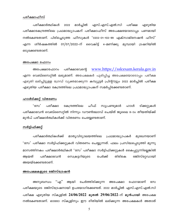#### പരീക്ഷാഫീസ്

പരീക്ഷാർത്ഥികൾ എസ്.എസ്.എൽ.സി പരീക്ഷ 2022 മാർച്ചിൽ എഴുതിയ പരീക്ഷാകേന്ദ്രത്തിലെ പ്രഥമാദ്ധ്യാപകന് പരീക്ഷാഫീസ് അപേക്ഷയോടൊപ്പം പണമായി നൽകേണ്ടതാണ്. പിരിച്ചെടുത്ത ഫീസുകൾ '0202–01–102–99 എക്സാമിനേഷൻ ഫീസ്' ശീർഷകത്തിൽ 01/07/2022–ന് വൈകിട്ട് 4–മണിക്കു മുമ്പായി ട്രഷറിയിൽ എന്ന ഒടുക്കേണ്ടതാണ്.

#### അപേക്ഷാ ഫോറം

www.https://sslcexam.kerala.gov.in പരീക്ഷാഭവന്റെ അപേക്ഷാഫോറം എന്ന വെബ്സൈറ്റിൽ ലഭ്യമാണ്. അപേക്ഷകർ പൂരിപ്പിച്ച അപേക്ഷയോടൊപ്പം പരീക്ഷ എഴുതി ലഭിച്ചിട്ടുള്ള ഗ്രേഡ് വ്യക്തമാക്കുന്ന കമ്പ്യൂട്ടർ പ്രിന്റൗട്ടും 2022 മാർച്ചിൽ പരീക്ഷ എഴുതിയ പരീക്ഷാ കേന്ദ്രത്തിലെ പ്രഥമാദ്ധ്യാപകന് സമർപ്പിക്കേണ്ടതാണ്.

#### <u>ഹാൾടിക്കറ്റ് വിതരണം</u>

 $\degree$ ന്യേ $\degree$ പരീക്ഷാ കേന്ദ്രത്തിലെ ചീഫ് സുപ്രണ്ടുമാർ ഹാൾ ടിക്കറ്റുകൾ പരീക്ഷാഭവൻ വെബ്സൈറ്റിൽ നിന്നും ഡൗൺലോഡ് ചെയ്ത് ജൂലൈ 8–ാം തീയതിയ്ക്ക് മുൻപ് പരീക്ഷാർത്ഥികൾക്ക് വിതരണം ചെയ്യേണ്ടതാണ്.

#### സർട്ടിഫിക്കറ്റ്

പരീക്ഷാർത്ഥികൾക്ക് മാതൃവിദ്യാലയത്തിലെ പ്രഥമാദ്ധ്യാപകർ മുഖേനയാണ് 'സേ' പരീക്ഷാ സർട്ടിഫിക്കറ്റുകൾ വിതരണം ചെയ്യുന്നത്. ഫലം പ്രസിദ്ധപ്പെടുത്തി മൂന്നു മാസത്തിനകം പരീക്ഷാർത്ഥികൾ 'സേ' പരീക്ഷാ സർട്ടിഫിക്കറ്റുകൾ കൈപ്പറ്റുന്നില്ലെങ്കിൽ അയത് പരീക്ഷാഭവൻ സെക്രട്ടറിയുടെ പേർക്ക് തിരികെ രജിസ്റ്റേഡായി അയയ്ക്കേണ്ടതാണ്.

#### <u>അപേക്ഷകളുടെ രജിസ്ട്രേഷൻ</u>

"എ" ആയി ചേർത്തിരിക്കുന്ന അനുബന്ധം അപേക്ഷാ ഫോറമാണ് സേ പരീക്ഷയുടെ രജിസ്ട്രേഷനായി ഉപയോഗിക്കേണ്ടത്. 2022 മാർച്ചിൽ എസ്.എസ്.എൽ.സി പരീക്ഷ എഴുതിയ സ്കൂളിൽ 24/06/2022 മു<mark>തൽ 2</mark>9/06/2022-ന് മുൻപായി അപേക്ഷ നൽകേണ്ടതാണ്. ഓരോ സ്കൂളിനും ഈ രീതിയിൽ ലഭിക്കുന്ന അപേക്ഷകൾ അതാത്

5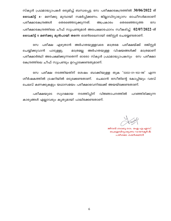സ്കൂൾ പ്രഥമാദ്ധ്യാപകർ ഒരുമിച്ച് ബന്ധപ്പെട്ട സേ പരീക്ഷാകേന്ദ്രത്തിൽ  $30/06/2022$  ന് **വൈകിട്ട് 4**– മണിക്കു മുമ്പായി സമർപ്പിക്കണം. ജില്ലാവിദ്യാഭ്യാസ ഓഫീസർമാരാണ് പരീക്ഷാകേന്ദ്രങ്ങൾ തെരഞ്ഞെടുക്കുന്നത്. അപ്രകാരം തെരഞ്ഞെടുത്ത സേ പരീക്ഷാകേന്ദ്രത്തിലെ ചീഫ് സൂപ്രണ്ടുമാർ അപേക്ഷാഫോറം സ്വീകരിച്ച്  $02/07/2022$ -ന് വൈകിട്ട് 5 മണിക്കു മുൻപായി തന്നെ ഓൺലൈനായി രജിസ്റ്റർ ചെയ്യേണ്ടതാണ്.

പരീക്ഷയ്ക്ക് സേ പരീക്ഷ എഴുതാൻ അർഹതയുള്ളവരെ മാത്രമേ രജിസ്റ്റർ ചെയ്യിക്കുവാൻ മാത്രമല്ല അർഹതയുള്ള വിഷയങ്ങൾക്ക് മാത്രമാണ് പാടുള്ളു. പരീക്ഷാർത്ഥി അപേക്ഷിക്കുന്നതെന്ന് ഓരോ സ്കൂൾ പ്രഥമാദ്ധ്യാപകനും സേ പരീക്ഷാ കേന്ദ്രത്തിലെ ചീഫ് സൂപ്രണ്ടും ഉറപ്പാക്കേണ്ടതുമാണ്.

സേ പരീക്ഷ നടത്തിയതിന് ശേഷം ബാക്കിയുള്ള തുക '0202–01–102–99' എന്ന ശീർഷകത്തിൽ ട്രഷറിയിൽ ഒടുക്കേണ്ടതാണ്. ചെലാൻ രസീതിന്റെ കോപ്പിയും വരവ് ചെലവ് കണക്കുകളും യഥാസമയം പരീക്ഷാഭവനിലേക്ക് അയയ്ക്കേണ്ടതാണ്.

നടത്തിപ്പിന് പരീക്ഷയുടെ സുഗമമായ വിജ്ഞാപനത്തിൽ പറഞ്ഞിരിക്കുന്ന കാര്യങ്ങൾ എല്ലാവരും കൃത്യമായി പാലിക്കേണ്ടതാണ്.

ജീവൻ ബാബു കെ. ഐ.എ.എസ്. പൊഇവിദ്യാഭ്യാസ ഡയറക്ടർ & പരീക്ഷാ കമ്മീഷണർ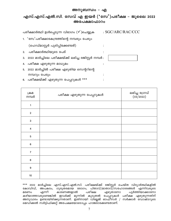#### അനുബന്ധം - എ

#### എസ്.എസ്.എൽ.സി. സേവ് എ ഇയർ ( $\cdot$ സേ $\cdot$ )പരീക്ഷ – ജൂലൈ 2022 അപേക്ഷാഫാറം

 $\vdots$ 

 $\ddot{\cdot}$ 

 $\mathbf{\cdot}$ 

 $\ddot{\cdot}$ 

 $\ddot{\cdot}$ 

| പരീക്ഷാർത്ഥി ഉൾപ്പെടുന്ന വിഭാഗം (✔)ചെയ്യുക | :SGC/ARC/RAC/CCC |
|--------------------------------------------|------------------|
|--------------------------------------------|------------------|

1. 'സേ'പരീക്ഷാകേന്ദ്രത്തിന്റെ നമ്പരും പേരും

(ഹെഡ്മാസ്റ്റർ പൂരിപ്പിക്കേണ്ടത്)

- പരീക്ഷാർത്ഥിയുടെ പേര്  $2.$
- 3. 2022 മാർച്ചിലെ പരീക്ഷയ്ക്ക് ലഭിച്ച രജിസ്റ്റർ നമ്പർ :
- 4. പരീക്ഷ എഴുതുന്ന മാധ്യമം
- 5. 2022 മാർച്ചിൽ പരീക്ഷ എഴുതിയ സെന്ററിന്റെ നമ്പറും പേരും
- 6. പരീക്ഷയ്ക്ക് എഴുതുന്ന പേപ്പറുകൾ \*\*\*

| ക്രമ<br>നമ്പർ    | പരീക്ഷ എഴുതുന്ന പേപ്പറുകൾ | ലഭിച്ച ഗ്രേഡ്<br>(03/2022) |
|------------------|---------------------------|----------------------------|
| 1                |                           |                            |
| $\mathbf 2$      |                           |                            |
| $\mathsf 3$      |                           |                            |
| $\pmb{4}$        |                           |                            |
| $\,$ 5 $\,$      |                           |                            |
| $\bf 6$          |                           |                            |
| $\overline{7}$   |                           |                            |
| $\bf 8$          |                           |                            |
| $\boldsymbol{9}$ |                           |                            |
| $10\,$           |                           |                            |

\*\*\* 2022 മാർച്ചിലെ എസ്.എസ്.എൽ.സി. പരീക്ഷയ്ക്ക് രജിസ്റ്റർ ചെയ്ത വിദ്യാർത്ഥികളിൽ കോവിഡ്, അപകടം, ഗുരുതരമായ രോഗം, പിതാവ്/മാതാവ്്/സഹോദരങ്ങൾ എന്നിവരുടെ മരണം എന്നീ കാരണങ്ങളാൽ പരീക്ഷ എഴുതാനോ പൂർത്തിയാക്കാനോ കഴിയാത്തവരുണ്ടെങ്കിൽ ഇവർക്ക് മൂന്നിൽ കൂടുതൽ പേപ്പറുകൾ പരീക്ഷ എഴുതുന്നതിന് അനുവാദം ഉണ്ടായിരിക്കുന്നതാണ്. ഇതിനായി വില്ലേജ് ഓഫ്ിസർ / സർക്കാർ ഡോക്ടറുടെ മെഡിക്കൽ സർട്ടിഫിക്കറ്റ് അപേക്ഷയോടൊപ്പം ഹാജരാക്കേണ്ടതാണ്.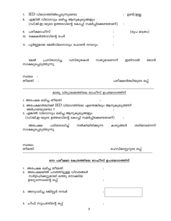| 7.<br>8.                                   | $\text{IED}$ വിഭാഗത്തിൽപ്പെടുന്നുണ്ടോ<br>എങ്കിൽ വിഭാഗവും ലഭിച്ച ആനുകൂല്യങ്ങളും                                                                                                                                                                                                                           |  | ഉണ്ട്/ഇല്ല             |             |
|--------------------------------------------|----------------------------------------------------------------------------------------------------------------------------------------------------------------------------------------------------------------------------------------------------------------------------------------------------------|--|------------------------|-------------|
| 9.<br>10.                                  | (ഡി.ജി.ഇ-യുടെ ഉത്തരവിന്റെ കോപ്പി സമർപ്പിക്കേണ്ടതാണ്)<br>പരീക്ഷാഫീസ്<br>രക്ഷകർത്താവിന്റെ പേര്                                                                                                                                                                                                             |  | (രൂപ മാത്രം)           |             |
| 11.                                        | പൂർണ്ണമായ മേൽവിലാസവും ഫോൺ നമ്പറും                                                                                                                                                                                                                                                                        |  |                        |             |
|                                            | പ്രസ്താവിച്ച വസ്തുതകൾ സത്യമാണെന്ന്<br>മേൽ<br>സാക്ഷ്യപ്പെടുത്തുന്നു.                                                                                                                                                                                                                                      |  | ഇതിനാൽ                 | ഞാൻ         |
|                                            | സ്ഥലം<br>തീയതി                                                                                                                                                                                                                                                                                           |  | പരീക്ഷാർത്ഥിയുടെ ഒപ്പ് |             |
|                                            | മാതൃ വിദ്യാലയത്തിലെ ഓഫീസ് ഉപയോഗത്തിന്                                                                                                                                                                                                                                                                    |  |                        |             |
|                                            | 1. അപേക്ഷ ലഭിച്ച തീയതി<br>2. അപേക്ഷാർത്ഥിക്ക് $\operatorname{IED}$ വിഭാഗത്തിലെ എന്തെങ്കിലും ആനുകൂല്യത്തിന്<br>അർഹതയുണ്ടോ ?<br>3. എങ്കിൽ വിഭാഗവും ലഭിച്ച ആനുകൂല്യങ്ങളും<br>(ഡി.ജി.ഇ-യുടെ ഉത്തരവിന്റെ കോപ്പി സമർപ്പിക്കേണ്ടതാണ്)<br>അപേക്ഷ പരിശോധിച്ച് നൽകിയിരിക്കുന്ന കാര്യങ്ങൾ<br>സാക്ഷ്യപ്പെടുത്തുന്നു. |  |                        | ശരിയാണെന്ന് |
|                                            | സ്ഥലം:<br>തീയതി:                                                                                                                                                                                                                                                                                         |  | ഹെഡ്മാസ്റ്ററുടെ ഒപ്പ്  |             |
| സേ പരീക്ഷാ കേന്ദ്രത്തിലെ ഓഫീസ് ഉപയോഗത്തിന് |                                                                                                                                                                                                                                                                                                          |  |                        |             |
|                                            | 1. അപേക്ഷ ലഭിച്ച തീയതി<br>2. അപേക്ഷയിൽ പറഞ്ഞിട്ടുള്ള വിവരങ്ങൾ<br>സർട്ടിഫിക്കറ്റുമായി ഒത്തു നോക്കിയ<br>ഉദ്യോഗസ്ഥന്റെ ഒപ്പ്                                                                                                                                                                                |  |                        |             |
|                                            | 3.  അനുവദിച്ച രജിസ്റ്റർ നമ്പർ                                                                                                                                                                                                                                                                            |  |                        |             |
|                                            | 4.  ചീഫ് സൂപ്രണ്ടിന്റെ ഒപ്പ്                                                                                                                                                                                                                                                                             |  |                        |             |

8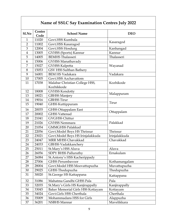### Name of SSLC Say Examination Centres July 2022

| S1.No          | Centre<br>Code | <b>School Name</b>                           | <b>DEO</b>    |  |
|----------------|----------------|----------------------------------------------|---------------|--|
| $\mathbf{1}$   | 11020          | Govt.HSS Kumbala                             |               |  |
| $\overline{2}$ | 11002          | Govt.HSS Kasaragod                           | Kasaragod     |  |
| 3              | 12004          | Govt.HSS Hosdurg                             | Kanhangad     |  |
| $\overline{4}$ | 13005          | GVHSS (Sports) Kannur                        | Kannur        |  |
| 5              | 14005          | <b>BEMHS Thalasseri</b>                      | Thalasseri    |  |
| 6              | 15006          | GVHSS Manathavady                            |               |  |
| 7              | 15027          | <b>GVHSS Kalpetta</b>                        | Wayanad       |  |
| 8              | 15053          | GSV HSS Sulthan Bathery                      |               |  |
| 9              | 16001          | <b>BEM HS Vadakara</b>                       | Vadakara      |  |
| 10             | 17005          | Govt.HSS Azchavattom                         | Kozhikode     |  |
| 11             | 17038          | Malabar Christian College HSS,<br>Kozhikkode |               |  |
| 12             | 18008          | <b>GVHSS Kondotty</b>                        |               |  |
| 13             | 18021          | <b>GBHSS Manjery</b>                         | Malappuram    |  |
| 14             | 19016          | <b>GBHSS Tirur</b>                           |               |  |
| 15             | 19040          | GHSS Kuttippuram                             | Tirur         |  |
| 16             | 20035          | <b>GHSS Ottappalam East</b>                  |               |  |
| 17             | 20002          | <b>GHSS Vattenad</b>                         | Ottappalam    |  |
| 18             | 21041          | <b>GVGHSS Chittur</b>                        |               |  |
| 19             | 21026          | <b>GVHSS Nemmara</b>                         | Palakkad      |  |
| 20             | 21054          | <b>GMMGHSS Palakkad</b>                      |               |  |
| 21             | 22056          | Govt.Model Boys HS Thrissur                  | Thrissur      |  |
| 22             | 23021          | Govt.Model Boys HS Irinjalakkuda             | Irinjalakkuda |  |
| 23             | 24047          | <b>MRR MHSS Chavakkad</b>                    | Chavakkad     |  |
| 24             | 24033          | <b>GBHSS Vadakkanchery</b>                   |               |  |
| 25             | 25011          | St.Mary's HSS Aluva                          | Aluva         |  |
| 26             | 26056          | SDPY BHSS Palluruthy                         | Ernakulam     |  |
| 27             | 26084          | St. Antony's HSS Kacherippady                |               |  |
| 28             | 27006          | <b>GHSS Perumbayoor</b>                      | Kothamangalam |  |
| 29             | 28004          | Govt.Model HSS Moovattupuzha                 | Muvattupuzha  |  |
| 30             | 29025          | GHSS Thodupuzha                              | Thodupuzha    |  |
| 31             | 30020          | St.George HS Kattappana                      | Kattappana    |  |
| 32             | 31086          | Mahatma Gandhi GHSS Pala                     | Pala          |  |
| 33             | 32035          | St.Mary's Girls HS Kanjirappally             | Kanjirappally |  |
| 34             | 33045          | Baker Memorial Girls HSS Kottayam            | Kottayam      |  |
| 35             | 34024          | Govt.Girls HSS Cherthala                     | Cherthala     |  |
| 36             | 35009          | Mohammadans HSS for Girls                    | Alappuzha     |  |
| 37             | 36201          | NSBHS Mannar                                 | Mavelikkara   |  |